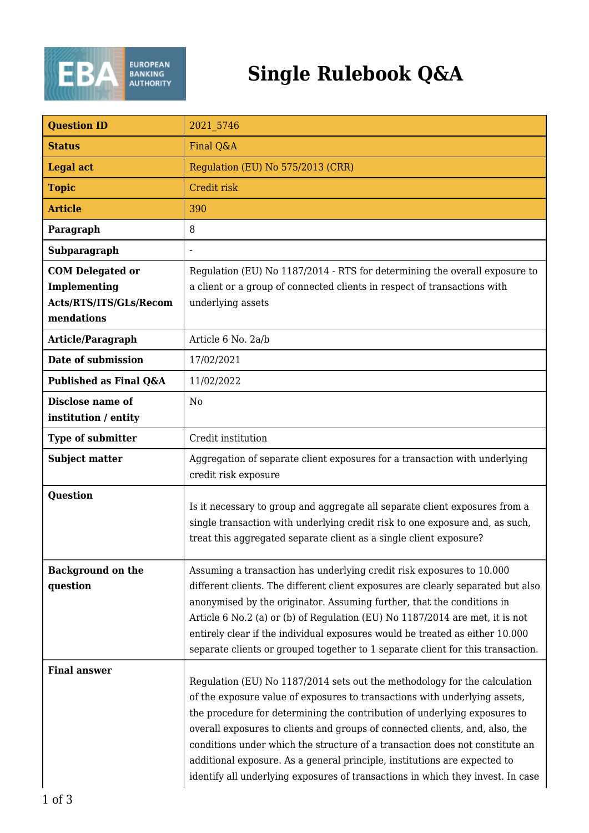

## **Single Rulebook Q&A**

| <b>Question ID</b>                                                              | 2021 5746                                                                                                                                                                                                                                                                                                                                                                                                                                                                                                                                                            |
|---------------------------------------------------------------------------------|----------------------------------------------------------------------------------------------------------------------------------------------------------------------------------------------------------------------------------------------------------------------------------------------------------------------------------------------------------------------------------------------------------------------------------------------------------------------------------------------------------------------------------------------------------------------|
| <b>Status</b>                                                                   | Final Q&A                                                                                                                                                                                                                                                                                                                                                                                                                                                                                                                                                            |
| <b>Legal act</b>                                                                | Regulation (EU) No 575/2013 (CRR)                                                                                                                                                                                                                                                                                                                                                                                                                                                                                                                                    |
| <b>Topic</b>                                                                    | Credit risk                                                                                                                                                                                                                                                                                                                                                                                                                                                                                                                                                          |
| <b>Article</b>                                                                  | 390                                                                                                                                                                                                                                                                                                                                                                                                                                                                                                                                                                  |
| Paragraph                                                                       | 8                                                                                                                                                                                                                                                                                                                                                                                                                                                                                                                                                                    |
| Subparagraph                                                                    |                                                                                                                                                                                                                                                                                                                                                                                                                                                                                                                                                                      |
| <b>COM Delegated or</b><br>Implementing<br>Acts/RTS/ITS/GLs/Recom<br>mendations | Regulation (EU) No 1187/2014 - RTS for determining the overall exposure to<br>a client or a group of connected clients in respect of transactions with<br>underlying assets                                                                                                                                                                                                                                                                                                                                                                                          |
| Article/Paragraph                                                               | Article 6 No. 2a/b                                                                                                                                                                                                                                                                                                                                                                                                                                                                                                                                                   |
| Date of submission                                                              | 17/02/2021                                                                                                                                                                                                                                                                                                                                                                                                                                                                                                                                                           |
| Published as Final Q&A                                                          | 11/02/2022                                                                                                                                                                                                                                                                                                                                                                                                                                                                                                                                                           |
| Disclose name of<br>institution / entity                                        | N <sub>0</sub>                                                                                                                                                                                                                                                                                                                                                                                                                                                                                                                                                       |
| Type of submitter                                                               | Credit institution                                                                                                                                                                                                                                                                                                                                                                                                                                                                                                                                                   |
| <b>Subject matter</b>                                                           | Aggregation of separate client exposures for a transaction with underlying<br>credit risk exposure                                                                                                                                                                                                                                                                                                                                                                                                                                                                   |
| Question                                                                        | Is it necessary to group and aggregate all separate client exposures from a<br>single transaction with underlying credit risk to one exposure and, as such,<br>treat this aggregated separate client as a single client exposure?                                                                                                                                                                                                                                                                                                                                    |
| <b>Background on the</b><br>question                                            | Assuming a transaction has underlying credit risk exposures to 10.000<br>different clients. The different client exposures are clearly separated but also<br>anonymised by the originator. Assuming further, that the conditions in<br>Article 6 No.2 (a) or (b) of Regulation (EU) No 1187/2014 are met, it is not<br>entirely clear if the individual exposures would be treated as either 10.000<br>separate clients or grouped together to 1 separate client for this transaction.                                                                               |
| <b>Final answer</b>                                                             | Regulation (EU) No 1187/2014 sets out the methodology for the calculation<br>of the exposure value of exposures to transactions with underlying assets,<br>the procedure for determining the contribution of underlying exposures to<br>overall exposures to clients and groups of connected clients, and, also, the<br>conditions under which the structure of a transaction does not constitute an<br>additional exposure. As a general principle, institutions are expected to<br>identify all underlying exposures of transactions in which they invest. In case |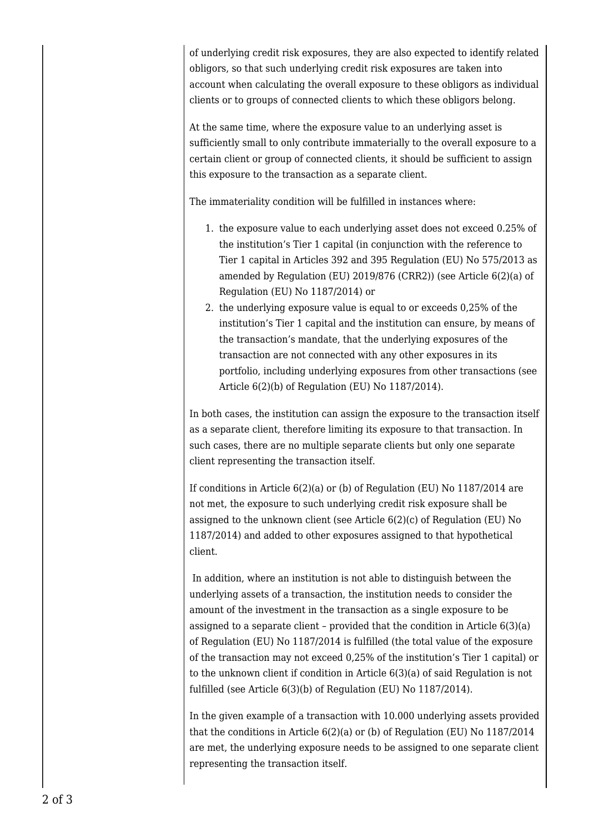of underlying credit risk exposures, they are also expected to identify related obligors, so that such underlying credit risk exposures are taken into account when calculating the overall exposure to these obligors as individual clients or to groups of connected clients to which these obligors belong.

At the same time, where the exposure value to an underlying asset is sufficiently small to only contribute immaterially to the overall exposure to a certain client or group of connected clients, it should be sufficient to assign this exposure to the transaction as a separate client.

The immateriality condition will be fulfilled in instances where:

- 1. the exposure value to each underlying asset does not exceed 0.25% of the institution's Tier 1 capital (in conjunction with the reference to Tier 1 capital in Articles 392 and 395 Regulation (EU) No 575/2013 as amended by Regulation (EU) 2019/876 (CRR2)) (see Article 6(2)(a) of Regulation (EU) No 1187/2014) or
- 2. the underlying exposure value is equal to or exceeds 0,25% of the institution's Tier 1 capital and the institution can ensure, by means of the transaction's mandate, that the underlying exposures of the transaction are not connected with any other exposures in its portfolio, including underlying exposures from other transactions (see Article 6(2)(b) of Regulation (EU) No 1187/2014).

In both cases, the institution can assign the exposure to the transaction itself as a separate client, therefore limiting its exposure to that transaction. In such cases, there are no multiple separate clients but only one separate client representing the transaction itself.

If conditions in Article  $6(2)(a)$  or (b) of Regulation (EU) No 1187/2014 are not met, the exposure to such underlying credit risk exposure shall be assigned to the unknown client (see Article 6(2)(c) of Regulation (EU) No 1187/2014) and added to other exposures assigned to that hypothetical client.

 In addition, where an institution is not able to distinguish between the underlying assets of a transaction, the institution needs to consider the amount of the investment in the transaction as a single exposure to be assigned to a separate client – provided that the condition in Article 6(3)(a) of Regulation (EU) No 1187/2014 is fulfilled (the total value of the exposure of the transaction may not exceed 0,25% of the institution's Tier 1 capital) or to the unknown client if condition in Article 6(3)(a) of said Regulation is not fulfilled (see Article 6(3)(b) of Regulation (EU) No 1187/2014).

In the given example of a transaction with 10.000 underlying assets provided that the conditions in Article 6(2)(a) or (b) of Regulation (EU) No 1187/2014 are met, the underlying exposure needs to be assigned to one separate client representing the transaction itself.